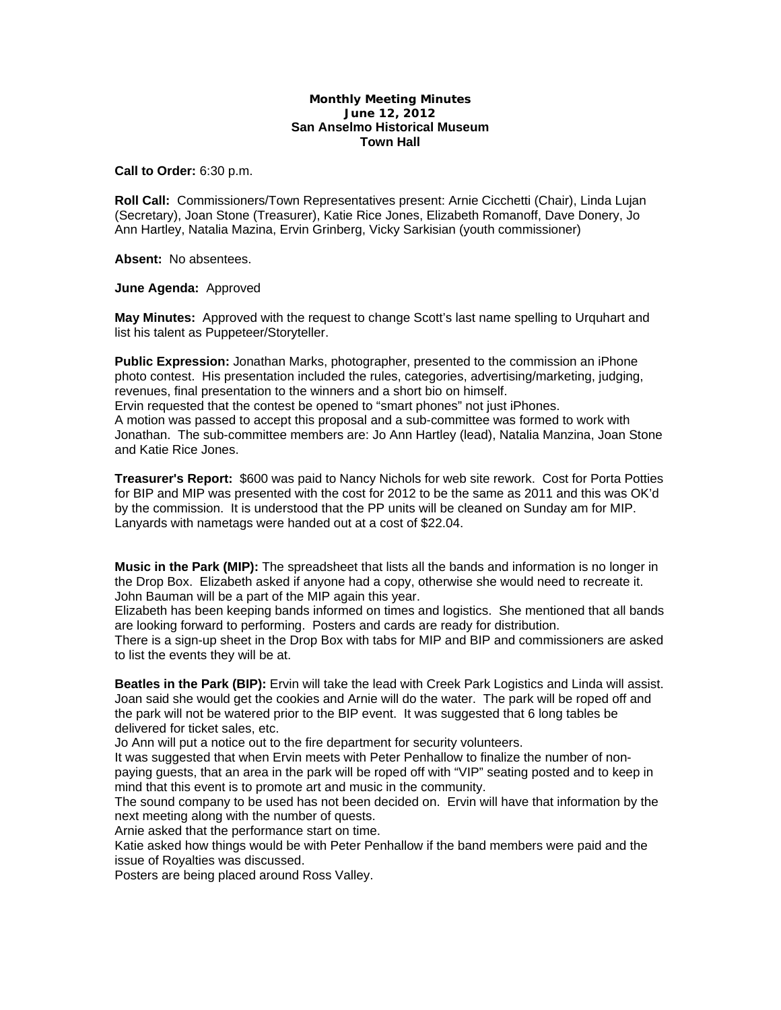## **Monthly Meeting Minutes June 12, 2012 San Anselmo Historical Museum Town Hall**

**Call to Order:** 6:30 p.m.

**Roll Call:** Commissioners/Town Representatives present: Arnie Cicchetti (Chair), Linda Lujan (Secretary), Joan Stone (Treasurer), Katie Rice Jones, Elizabeth Romanoff, Dave Donery, Jo Ann Hartley, Natalia Mazina, Ervin Grinberg, Vicky Sarkisian (youth commissioner)

**Absent:** No absentees.

**June Agenda:** Approved

**May Minutes:** Approved with the request to change Scott's last name spelling to Urquhart and list his talent as Puppeteer/Storyteller.

**Public Expression:** Jonathan Marks, photographer, presented to the commission an iPhone photo contest. His presentation included the rules, categories, advertising/marketing, judging, revenues, final presentation to the winners and a short bio on himself.

Ervin requested that the contest be opened to "smart phones" not just iPhones.

A motion was passed to accept this proposal and a sub-committee was formed to work with Jonathan. The sub-committee members are: Jo Ann Hartley (lead), Natalia Manzina, Joan Stone and Katie Rice Jones.

**Treasurer's Report:** \$600 was paid to Nancy Nichols for web site rework. Cost for Porta Potties for BIP and MIP was presented with the cost for 2012 to be the same as 2011 and this was OK'd by the commission. It is understood that the PP units will be cleaned on Sunday am for MIP. Lanyards with nametags were handed out at a cost of \$22.04.

**Music in the Park (MIP):** The spreadsheet that lists all the bands and information is no longer in the Drop Box. Elizabeth asked if anyone had a copy, otherwise she would need to recreate it. John Bauman will be a part of the MIP again this year.

Elizabeth has been keeping bands informed on times and logistics. She mentioned that all bands are looking forward to performing. Posters and cards are ready for distribution.

There is a sign-up sheet in the Drop Box with tabs for MIP and BIP and commissioners are asked to list the events they will be at.

**Beatles in the Park (BIP):** Ervin will take the lead with Creek Park Logistics and Linda will assist. Joan said she would get the cookies and Arnie will do the water. The park will be roped off and the park will not be watered prior to the BIP event. It was suggested that 6 long tables be delivered for ticket sales, etc.

Jo Ann will put a notice out to the fire department for security volunteers.

It was suggested that when Ervin meets with Peter Penhallow to finalize the number of nonpaying guests, that an area in the park will be roped off with "VIP" seating posted and to keep in mind that this event is to promote art and music in the community.

The sound company to be used has not been decided on. Ervin will have that information by the next meeting along with the number of quests.

Arnie asked that the performance start on time.

Katie asked how things would be with Peter Penhallow if the band members were paid and the issue of Royalties was discussed.

Posters are being placed around Ross Valley.